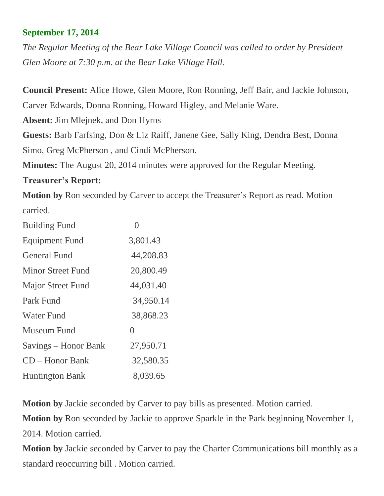## **September 17, 2014**

*The Regular Meeting of the Bear Lake Village Council was called to order by President Glen Moore at 7:30 p.m. at the Bear Lake Village Hall.*

**Council Present:** Alice Howe, Glen Moore, Ron Ronning, Jeff Bair, and Jackie Johnson, Carver Edwards, Donna Ronning, Howard Higley, and Melanie Ware.

**Absent:** Jim Mlejnek, and Don Hyrns

**Guests:** Barb Farfsing, Don & Liz Raiff, Janene Gee, Sally King, Dendra Best, Donna Simo, Greg McPherson , and Cindi McPherson.

**Minutes:** The August 20, 2014 minutes were approved for the Regular Meeting.

## **Treasurer's Report:**

**Motion by** Ron seconded by Carver to accept the Treasurer's Report as read. Motion carried.

| <b>Building Fund</b>     |           |
|--------------------------|-----------|
| <b>Equipment Fund</b>    | 3,801.43  |
| <b>General Fund</b>      | 44,208.83 |
| <b>Minor Street Fund</b> | 20,800.49 |
| <b>Major Street Fund</b> | 44,031.40 |
| Park Fund                | 34,950.14 |
| <b>Water Fund</b>        | 38,868.23 |
| Museum Fund              | $\theta$  |
| Savings – Honor Bank     | 27,950.71 |
| $CD - Honor Bank$        | 32,580.35 |
| <b>Huntington Bank</b>   | 8,039.65  |

**Motion by** Jackie seconded by Carver to pay bills as presented. Motion carried.

**Motion by** Ron seconded by Jackie to approve Sparkle in the Park beginning November 1, 2014. Motion carried.

**Motion by** Jackie seconded by Carver to pay the Charter Communications bill monthly as a standard reoccurring bill . Motion carried.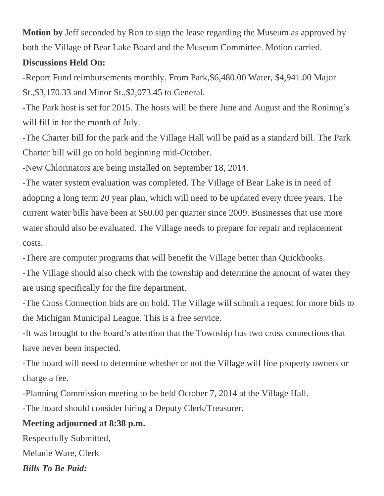**Motion by** Jeff seconded by Ron to sign the lease regarding the Museum as approved by both the Village of Bear Lake Board and the Museum Committee. Motion carried.

## **Discussions Held On:**

-Report Fund reimbursements monthly. From Park,\$6,480.00 Water, \$4,941.00 Major St.,\$3,170.33 and Minor St.,\$2,073.45 to General.

-The Park host is set for 2015. The hosts will be there June and August and the Roninng's will fill in for the month of July.

-The Charter bill for the park and the Village Hall will be paid as a standard bill. The Park Charter bill will go on hold beginning mid-October.

-New Chlorinators are being installed on September 18, 2014.

-The water system evaluation was completed. The Village of Bear Lake is in need of adopting a long term 20 year plan, which will need to be updated every three years. The current water bills have been at \$60.00 per quarter since 2009. Businesses that use more water should also be evaluated. The Village needs to prepare for repair and replacement costs.

-There are computer programs that will benefit the Village better than Quickbooks.

-The Village should also check with the township and determine the amount of water they are using specifically for the fire department.

-The Cross Connection bids are on hold. The Village will submit a request for more bids to the Michigan Municipal League. This is a free service.

-It was brought to the board's attention that the Township has two cross connections that have never been inspected.

-The board will need to determine whether or not the Village will fine property owners or charge a fee.

-Planning Commission meeting to be held October 7, 2014 at the Village Hall.

-The board should consider hiring a Deputy Clerk/Treasurer.

## **Meeting adjourned at 8:38 p.m.**

Respectfully Submitted, Melanie Ware, Clerk *Bills To Be Paid:*